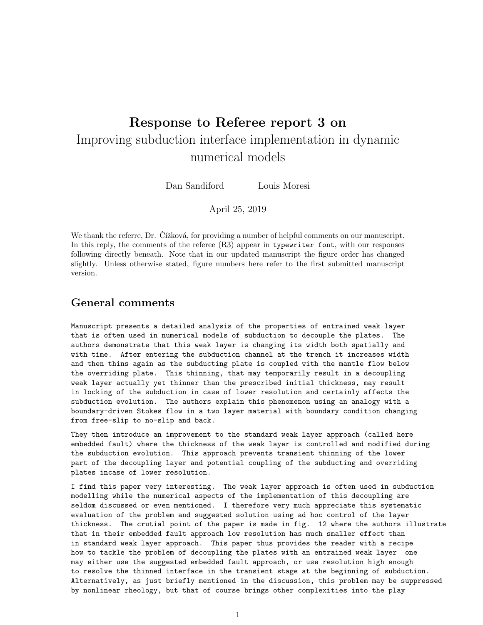## Response to Referee report 3 on Improving subduction interface implementation in dynamic numerical models

Dan Sandiford Louis Moresi

April 25, 2019

We thank the referre, Dr. Čížková, for providing a number of helpful comments on our manuscript. In this reply, the comments of the referee (R3) appear in typewriter font, with our responses following directly beneath. Note that in our updated manuscript the figure order has changed slightly. Unless otherwise stated, figure numbers here refer to the first submitted manuscript version.

## General comments

Manuscript presents a detailed analysis of the properties of entrained weak layer that is often used in numerical models of subduction to decouple the plates. The authors demonstrate that this weak layer is changing its width both spatially and with time. After entering the subduction channel at the trench it increases width and then thins again as the subducting plate is coupled with the mantle flow below the overriding plate. This thinning, that may temporarily result in a decoupling weak layer actually yet thinner than the prescribed initial thickness, may result in locking of the subduction in case of lower resolution and certainly affects the subduction evolution. The authors explain this phenomenon using an analogy with a boundary-driven Stokes flow in a two layer material with boundary condition changing from free-slip to no-slip and back.

They then introduce an improvement to the standard weak layer approach (called here embedded fault) where the thickness of the weak layer is controlled and modified during the subduction evolution. This approach prevents transient thinning of the lower part of the decoupling layer and potential coupling of the subducting and overriding plates incase of lower resolution.

I find this paper very interesting. The weak layer approach is often used in subduction modelling while the numerical aspects of the implementation of this decoupling are seldom discussed or even mentioned. I therefore very much appreciate this systematic evaluation of the problem and suggested solution using ad hoc control of the layer thickness. The crutial point of the paper is made in fig. 12 where the authors illustrate that in their embedded fault approach low resolution has much smaller effect than in standard weak layer approach. This paper thus provides the reader with a recipe how to tackle the problem of decoupling the plates with an entrained weak layer one may either use the suggested embedded fault approach, or use resolution high enough to resolve the thinned interface in the transient stage at the beginning of subduction. Alternatively, as just briefly mentioned in the discussion, this problem may be suppressed by nonlinear rheology, but that of course brings other complexities into the play